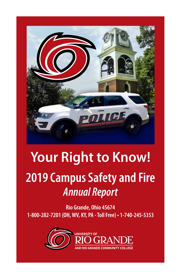

# **2019 Campus Safety and Fire** *Annual Report* **Your Right to Know!**

**Rio Grande, Ohio 45674 1-800-282-7201 (OH, WV, KY, PA - Toll Free) • 1-740-245-5353** 

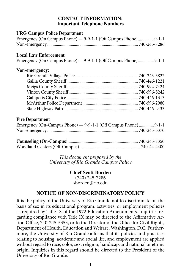### **CONTACT INFORMATION: Important Telephone Numbers**

## **URG Campus Police Department**

| Emergency (On Campus Phone) - 9-9-1-1 (Off Campus Phone) 9-1-1 |  |  |
|----------------------------------------------------------------|--|--|
|                                                                |  |  |

## **Local Law Enforcement**

Emergency (On Campus Phone) — 9-9-1-1 (Off Campus Phone)...............9-1-1

## **Non-emergency:**

## **Fire Department**

| Emergency (On-Campus Phone) - 9-9-1-1 (Off Campus Phone)  9-1-1 |  |
|-----------------------------------------------------------------|--|
|                                                                 |  |

*This document prepared by the University of Rio Grande Campus Police*

## **Chief Scott Borden**

(740) 245-7286 sborden@rio.edu

## **NOTICE OF NON-DISCRIMINATORY POLICY**

It is the policy of the University of Rio Grande not to discriminate on the basis of sex in its educational program, activities, or employment policies as required by Title IX of the 1972 Education Amendments. Inquiries regarding compliance with Title IX may be directed to the Affirmative Action Office, 740-245-5353, or to the Director of the Office for Civil Rights, Department of Health, Education and Welfare, Washington, D.C. Furthermore, the University of Rio Grande affirms that its policies and practices relating to housing, academic and social life, and employment are applied without regard to race, color, sex, religion, handicap, and national or ethnic origin. Inquiries in this regard should be directed to the President of the University of Rio Grande.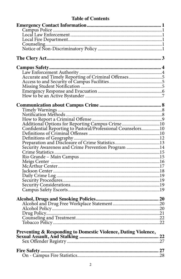# **Table of Contents**

| Accurate and Timely Reporting of Criminal Offenses5 |  |
|-----------------------------------------------------|--|
|                                                     |  |
|                                                     |  |
|                                                     |  |
|                                                     |  |
|                                                     |  |
|                                                     |  |
|                                                     |  |
|                                                     |  |
|                                                     |  |
|                                                     |  |
|                                                     |  |
|                                                     |  |
|                                                     |  |
|                                                     |  |
|                                                     |  |
|                                                     |  |
|                                                     |  |
|                                                     |  |
|                                                     |  |
|                                                     |  |
|                                                     |  |
|                                                     |  |
|                                                     |  |
|                                                     |  |
|                                                     |  |
|                                                     |  |
|                                                     |  |
|                                                     |  |
|                                                     |  |
|                                                     |  |
|                                                     |  |
|                                                     |  |
|                                                     |  |
|                                                     |  |
|                                                     |  |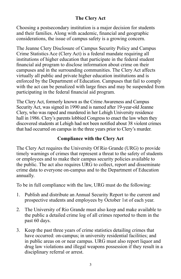# **The Clery Act**

Choosing a postsecondary institution is a major decision for students and their families. Along with academic, financial and geographic considerations, the issue of campus safety is a growing concern.

The Jeanne Clery Disclosure of Campus Security Policy and Campus Crime Statistics Ace (Clery Act) is a federal mandate requiring all institutions of higher education that participate in the federal student financial aid program to disclose information about crime on their campuses and in the surrounding communities. The Clery Act affects virtually all public and private higher education institutions and is enforced by the Department of Education. Campuses that fail to comply with the act can be penalized with large fines and may be suspended from participating in the federal financial aid program.

The Clery Act, formerly known as the Crime Awareness and Campus Security Act, was signed in 1990 and is named after 19-year-old Jeanne Clery, who was raped and murdered in her Lehigh University residence hall in 1986. Clery's parents lobbied Congress to enact the law when they discovered students at Lehigh had not been notified about 38 violent crimes that had occurred on campus in the three years prior to Clery's murder.

# **Compliance with the Clery Act**

The Clery Act requires the University Of Rio Grande (URG) to provide timely warnings of crimes that represent a threat to the safety of students or employees and to make their campus security policies available to the public. The act also requires URG to collect, report and disseminate crime data to everyone on-campus and to the Department of Education annually.

To be in full compliance with the law, URG must do the following:

- 1. Publish and distribute an Annual Security Report to the current and prospective students and employees by October 1st of each year.
- 2. The University of Rio Grande must also keep and make available to the public a detailed crime log of all crimes reported to them in the past 60 days.
- 3. Keep the past three years of crime statistics detailing crimes that have occurred: on-campus; in university residential facilities; and in public areas on or near campus. URG must also report liquor and drug law violations and illegal weapons possession if they result in a disciplinary referral or arrest.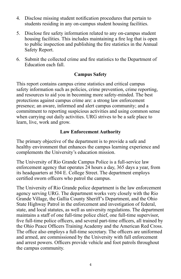- 4. Disclose missing student notification procedures that pertain to students residing in any on-campus student housing facilities.
- 5. Disclose fire safety information related to any on-campus student housing facilities. This includes maintaining a fire log that is open to public inspection and publishing the fire statistics in the Annual Safety Report.
- 6. Submit the collected crime and fire statistics to the Department of Education each fall.

## **Campus Safety**

This report contains campus crime statistics and critical campus safety information such as policies, crime prevention, crime reporting, and resources to aid you in becoming more safety-minded. The best protections against campus crime are: a strong law enforcement presence; an aware, informed and alert campus community; and a commitment to reporting suspicious activities and using common sense when carrying out daily activities. URG strives to be a safe place to learn, live, work and grow.

## **Law Enforcement Authority**

The primary objective of the department is to provide a safe and healthy environment that enhances the campus learning experience and complements the University's education mission.

The University of Rio Grande Campus Police is a full-service law enforcement agency that operates 24 hours a day, 365 days a year, from its headquarters at 504 E. College Street. The department employs certified sworn officers who patrol the campus.

The University of Rio Grande police department is the law enforcement agency serving URG. The department works very closely with the Rio Grande Village, the Gallia County Sheriff's Department, and the Ohio State Highway Patrol in the enforcement and investigation of federal, state, and local statutes, as well as university regulations. The department maintains a staff of one full-time police chief, one full-time supervisor, five full-time police officers, and several part-time officers, all trained by the Ohio Peace Officers Training Academy and the American Red Cross. The office also employs a full-time secretary. The officers are uniformed and armed, are commissioned by the University with full enforcement and arrest powers. Officers provide vehicle and foot patrols throughout the campus community.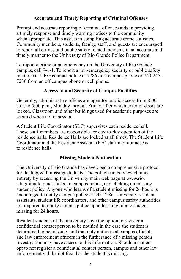# **Accurate and Timely Reporting of Criminal Offenses**

Prompt and accurate reporting of criminal offenses aids in providing a timely response and timely warning notices to the community when appropriate. This assists in compiling accurate crime statistics. Community members, students, faculty, staff, and guests are encouraged to report all crimes and public safety related incidents in an accurate and timely manner to the University of Rio Grande Police Department.

To report a crime or an emergency on the University of Rio Grande campus, call 9-1-1. To report a non-emergency security or public safety matter, call URG campus police at 7286 on a campus phone or 740-245- 7286 from an off campus phone or cell phone.

# **Access to and Security of Campus Facilities**

Generally, administrative offices are open for public access from 8:00 a.m. to 5:00 p.m., Monday through Friday, after which exterior doors are locked. Classroom and other buildings used for academic purposes are secured when not in session.

A Student Life Coordinator (SLC) supervises each residence hall. These staff members are responsible for day-to-day operation of the residence halls. Residence Halls are locked at all times. The Student Life Coordinator and the Resident Assistant (RA) staff monitor access to residence halls.

## **Missing Student Notification**

The University of Rio Grande has developed a comprehensive protocol for dealing with missing students. The policy can be viewed in its entirety by accessing the University main web page at www.rio. edu going to quick links, to campus police, and clicking on missing student policy. Anyone who learns of a student missing for 24 hours is encouraged to notify campus police at 245-7286. University resident assistants, student life coordinators, and other campus safety authorities are required to notify campus police upon learning of any student missing for 24 hours.

Resident students of the university have the option to register a confidential contact person to be notified in the case the student is determined to be missing, and that only authorized campus officials and law enforcement officers in the furtherance of a missing person investigation may have access to this information. Should a student opt to not register a confidential contact person, campus and other law enforcement will be notified that the student is missing.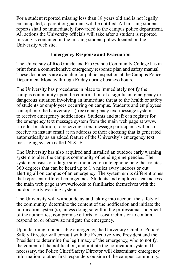For a student reported missing less than 18 years old and is not legally emancipated, a parent or guardian will be notified. All missing student reports shall be immediately forwarded to the campus police department. All actions the University officials will take after a student is reported missing is contained in the missing student policy located on the University web site.

## **Emergency Response and Evacuation**

The University of Rio Grande and Rio Grande Community College has in print form a comprehensive emergency response plan and safety manual. These documents are available for public inspection at the Campus Police Department Monday through Friday during business hours.

The University has procedures in place to immediately notify the campus community upon the confirmation of a significant emergency or dangerous situation involving an immediate threat to the health or safety of students or employees occurring on campus. Students and employees can opt into the University's (free) emergency text message system to receive emergency notifications. Students and staff can register for the emergency text message system from the main web page at www. rio.edu. In addition, to receiving a text message participants will also receive an instant email at an address of their choosing that is generated automatically as an added feature of the University's emergency text messaging system called NIXLE.

The University has also acquired and installed an outdoor early warning system to alert the campus community of pending emergencies. The system consists of a large siren mounted on a telephone pole that rotates  $360$  degrees that can be heard up to  $1\frac{1}{2}$  miles away indoors or out alerting all on campus of an emergency. The system emits different tones that represent different emergencies. Students and employees can access the main web page at www.rio.edu to familiarize themselves with the outdoor early warning system.

The University will without delay and taking into account the safety of the community, determine the content of the notification and initiate the notification system(s), unless doing so will in the professional judgment of the authorities, compromise efforts to assist victims or to contain, respond to, or otherwise mitigate the emergency.

Upon learning of a possible emergency, the University Chief of Police/ Safety Director will consult with the Executive Vice President and the President to determine the legitimacy of the emergency, who to notify, the content of the notification, and initiate the notification system. If necessary, the Police Chief/Safety Director will disseminate emergency information to other first responders outside of the campus community.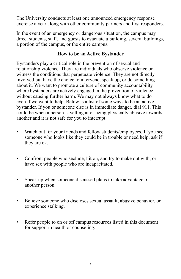The University conducts at least one announced emergency response exercise a year along with other community partners and first responders.

In the event of an emergency or dangerous situation, the campus may direct students, staff, and guests to evacuate a building, several buildings, a portion of the campus, or the entire campus.

# **How to be an Active Bystander**

Bystanders play a critical role in the prevention of sexual and relationship violence. They are individuals who observe violence or witness the conditions that perpetuate violence. They are not directly involved but have the choice to intervene, speak up, or do something about it. We want to promote a culture of community accountability where bystanders are actively engaged in the prevention of violence without causing further harm. We may not always know what to do even if we want to help. Below is a list of some ways to be an active bystander. If you or someone else is in immediate danger, dial 911. This could be when a person is yelling at or being physically abusive towards another and it is not safe for you to interrupt.

- Watch out for your friends and fellow students/employees. If you see someone who looks like they could be in trouble or need help, ask if they are ok.
- Confront people who seclude, hit on, and try to make out with, or have sex with people who are incapacitated.
- Speak up when someone discussed plans to take advantage of another person.
- Believe someone who discloses sexual assault, abusive behavior, or experience stalking.
- Refer people to on or off campus resources listed in this document for support in health or counseling.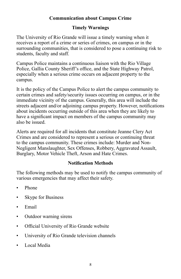# **Communication about Campus Crime**

# **Timely Warnings**

The University of Rio Grande will issue a timely warning when it receives a report of a crime or series of crimes, on campus or in the surrounding communities, that is considered to pose a continuing risk to students, faculty and staff.

Campus Police maintains a continuous liaison with the Rio Village Police, Gallia County Sheriff's office, and the State Highway Patrol, especially when a serious crime occurs on adjacent property to the campus.

It is the policy of the Campus Police to alert the campus community to certain crimes and safety/security issues occurring on campus, or in the immediate vicinity of the campus. Generally, this area will include the streets adjacent and/or adjoining campus property. However, notifications about incidents occurring outside of this area when they are likely to have a significant impact on members of the campus community may also be issued.

Alerts are required for all incidents that constitute Jeanne Clery Act Crimes and are considered to represent a serious or continuing threat to the campus community. These crimes include: Murder and Non-Negligent Manslaughter, Sex Offenses, Robbery, Aggravated Assault, Burglary, Motor Vehicle Theft, Arson and Hate Crimes.

# **Notification Methods**

The following methods may be used to notify the campus community of various emergencies that may affect their safety.

- Phone
- Skype for Business
- Email
- Outdoor warning sirens
- Official University of Rio Grande website
- University of Rio Grande television channels
- Local Media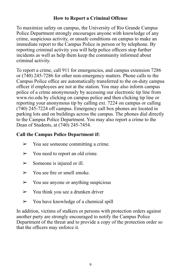# **How to Report a Criminal Offense**

To maximize safety on campus, the University of Rio Grande Campus Police Department strongly encourages anyone with knowledge of any crime, suspicious activity, or unsafe conditions on campus to make an immediate report to the Campus Police in person or by telephone. By reporting criminal activity you will help police officers stop further incidents as well as help them keep the community informed about criminal activity.

To report a crime, call 911 for emergencies, and campus extension 7286 or (740) 245-7286 for other non-emergency matters. Phone calls to the Campus Police office are automatically transferred to the on-duty campus officer if employees are not at the station. You may also inform campus police of a crime anonymously by accessing our electronic tip line from www.rio.edu by clicking on campus police and then clicking tip line or reporting your anonymous tip by calling ext. 7224 on campus or calling (740) 245-7224 off campus. Emergency call box phones are located in parking lots and on buildings across the campus. The phones dial directly to the Campus Police Department. You may also report a crime to the Dean of Students, at (740) 245-7454.

# **Call the Campus Police Department if:**

- $\triangleright$  You see someone committing a crime.
- $\triangleright$  You need to report an old crime.
- $\triangleright$  Someone is injured or ill.
- $\triangleright$  You see fire or smell smoke.
- $\triangleright$  You see anyone or anything suspicious
- $\triangleright$  You think you see a drunken driver
- $\geq$  You have knowledge of a chemical spill

In addition, victims of stalkers or persons with protection orders against another party are strongly encouraged to notify the Campus Police Department of the threat and to provide a copy of the protection order so that the officers may enforce it.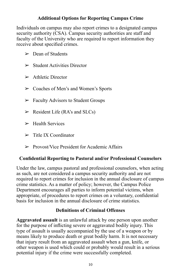# **Additional Options for Reporting Campus Crime**

Individuals on campus may also report crimes to a designated campus security authority (CSA). Campus security authorities are staff and faculty of the University who are required to report information they receive about specified crimes.

- $\geq$  Dean of Students
- $\triangleright$  Student Activities Director
- $\geq$  Athletic Director
- ➢ Coaches of Men's and Women's Sports
- $\triangleright$  Faculty Advisors to Student Groups
- $\triangleright$  Resident Life (RA's and SLCs)
- $\blacktriangleright$  Health Services
- $\triangleright$  Title IX Coordinator
- $\triangleright$  Provost/Vice President for Academic Affairs

# **Confidential Reporting to Pastoral and/or Professional Counselors**

Under the law, campus pastoral and professional counselors, when acting as such, are not considered a campus security authority and are not required to report crimes for inclusion in the annual disclosure of campus crime statistics. As a matter of policy; however, the Campus Police Department encourages all parties to inform potential victims, when appropriate, of procedures to report crimes on a voluntary, confidential basis for inclusion in the annual disclosure of crime statistics.

# **Definitions of Criminal Offenses**

**Aggravated assault** is an unlawful attack by one person upon another for the purpose of inflicting severe or aggravated bodily injury. This type of assault is usually accompanied by the use of a weapon or by means likely to produce death or great bodily harm. It is not necessary that injury result from an aggravated assault when a gun, knife, or other weapon is used which could or probably would result in a serious potential injury if the crime were successfully completed.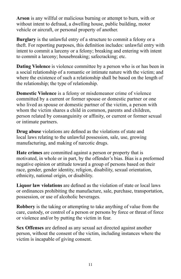**Arson** is any willful or malicious burning or attempt to burn, with or without intent to defraud, a dwelling house, public building, motor vehicle or aircraft, or personal property of another.

**Burglary** is the unlawful entry of a structure to commit a felony or a theft. For reporting purposes, this definition includes: unlawful entry with intent to commit a larceny or a felony; breaking and entering with intent to commit a larceny; housebreaking; safecracking; etc.

**Dating Violence** is violence committee by a person who is or has been in a social relationship of a romantic or intimate nature with the victim; and where the existence of such a relationship shall be based on the length of the relationship; the type of relationship.

**Domestic Violence** is a felony or misdemeanor crime of violence committed by a current or former spouse or domestic partner or one who lived as spouse or domestic partner of the victim, a person with whom the victim shares a child in common, parents and children, person related by consanguinity or affinity, or current or former sexual or intimate partners.

**Drug abuse** violations are defined as the violations of state and local laws relating to the unlawful possession, sale, use, growing manufacturing, and making of narcotic drugs.

**Hate crimes** are committed against a person or property that is motivated, in whole or in part, by the offender's bias. Bias is a preformed negative opinion or attitude toward a group of persons based on their race, gender, gender identity, religion, disability, sexual orientation, ethnicity, national origin, or disability.

**Liquor law violations** are defined as the violation of state or local laws or ordinances prohibiting the manufacture, sale, purchase, transportation, possession, or use of alcoholic beverages.

**Robbery** is the taking or attempting to take anything of value from the care, custody, or control of a person or persons by force or threat of force or violence and/or by putting the victim in fear.

**Sex Offenses** are defined as any sexual act directed against another person, without the consent of the victim, including instances where the victim is incapable of giving consent.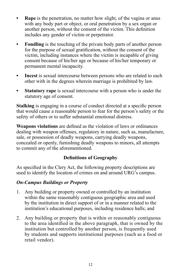- **Rape** is the penetration, no matter how slight, of the vagina or anus with any body part or object, or oral penetration by a sex organ or another person, without the consent of the victim. This definition includes any gender of victim or perpetrator.
- **• Fondling** is the touching of the private body parts of another person for the purpose of sexual gratification, without the consent of the victim, including instances where the victim is incapable of giving consent because of his/her age or because of his/her temporary or permanent mental incapacity.
- **• Incest** is sexual intercourse between persons who are related to each other with in the degrees wherein marriage is prohibited by law.
- **Statutory rape** is sexual intercourse with a person who is under the statutory age of consent.

**Stalking** is engaging in a course of conduct directed at a specific person that would cause a reasonable person to fear for the person's safety or the safety of others or to suffer substantial emotional distress.

**Weapons violations** are defined as the violation of laws or ordinances dealing with weapon offenses, regulatory in nature, such as, manufacture, sale, or possession of deadly weapons, carrying deadly weapons, concealed or openly, furnishing deadly weapons to minors, all attempts to commit any of the aforementioned.

# **Definitions of Geography**

As specified in the Clery Act, the following property descriptions are used to identify the location of crimes on and around URG's campus.

# *On-Campus Buildings or Property*

- 1. Any building or property owned or controlled by an institution within the same reasonably contiguous geographic area and used by the institution in direct support of or in a manner related to the institution's educational purposes, including residence halls; and
- 2. Any building or property that is within or reasonably contiguous to the area identified in the above paragraph, that is owned by the institution but controlled by another person, is frequently used by students and supports institutional purposes (such as a food or retail vendor).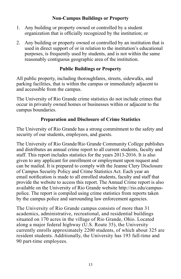# **Non-Campus Buildings or Property**

- 1. Any building or property owned or controlled by a student organization that is officially recognized by the institution; or
- 2. Any building or property owned or controlled by an institution that is used in direct support of or in relation to the institution's educational purposes, is frequently used by students, and is not within the same reasonably contiguous geographic area of the institution.

# **Public Buildings or Property**

All public property, including thoroughfares, streets, sidewalks, and parking facilities, that is within the campus or immediately adjacent to and accessible from the campus.

The University of Rio Grande crime statistics do not include crimes that occur in privately owned homes or businesses within or adjacent to the campus boundaries.

# **Preparation and Disclosure of Crime Statistics**

The University of Rio Grande has a strong commitment to the safety and security of our students, employees, and guests.

The University of Rio Grande/Rio Grande Community College publishes and distributes an annual crime report to all current students, faculty and staff. This report includes statistics for the years 2013-2016. It is also given to any applicant for enrollment or employment upon request and can be mailed. It is prepared to comply with the Jeanne Clery Disclosure of Campus Security Policy and Crime Statistics Act. Each year an email notification is made to all enrolled students, faculty and staff that provide the website to access this report. The Annual Crime report is also available on the University of Rio Grande website http://rio.edu/campuspolice. The report is compiled using crime statistics from reports taken by the campus police and surrounding law enforcement agencies.

The University of Rio Grande campus consists of more than 31 academics, administrative, recreational, and residential buildings situated on 170 acres in the village of Rio Grande, Ohio. Located along a major federal highway (U.S. Route 35), the University currently enrolls approximately 2200 students, of which about 325 are resident students. Additionally, the University has 193 full-time and 90 part-time employees.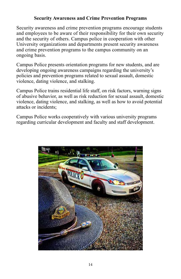# **Security Awareness and Crime Prevention Programs**

Security awareness and crime prevention programs encourage students and employees to be aware of their responsibility for their own security and the security of others. Campus police in cooperation with other University organizations and departments present security awareness and crime prevention programs to the campus community on an ongoing basis.

Campus Police presents orientation programs for new students, and are developing ongoing awareness campaigns regarding the university's policies and prevention programs related to sexual assault, domestic violence, dating violence, and stalking.

Campus Police trains residential life staff, on risk factors, warning signs of abusive behavior, as well as risk reduction for sexual assault, domestic violence, dating violence, and stalking, as well as how to avoid potential attacks or incidents;

Campus Police works cooperatively with various university programs regarding curricular development and faculty and staff development.

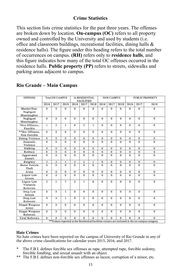## **Crime Statistics**

This section lists crime statistics for the past three years. The offenses are broken down by location. **On-campus (OC)** refers to all property owned and controlled by the University and used by students (i.e. office and classroom buildings, recreational facilities, dining halls & residence halls). The figure under this heading refers to the total number of occurrences on campus. **(RH)** refers only to **residence halls**, and this figure indicates how many of the total OC offenses occurred in the residence halls. **Public property (PP)** refers to streets, sidewalks and parking areas adjacent to campus.

| <b>OFFENSE</b>                           | <b>Total ON CAMPUS</b> |                         |                   | In RESIDENTIAL<br><b>FACILITIES</b> |                     |                | <b>NON CAMPUS</b>   |                     |                     | PUBLIC PROPERTY     |                     |            |
|------------------------------------------|------------------------|-------------------------|-------------------|-------------------------------------|---------------------|----------------|---------------------|---------------------|---------------------|---------------------|---------------------|------------|
|                                          | 2016                   | 2017                    | 2018              | 2016                                | 2017                | 2018           | 2016                | 2017                | 2018                | 2016                | 2017                | 2018       |
| Murder/Non-<br>Negligent<br>Manslaughter | $\overline{0}$<br>ú.   | D.                      | $\Omega$          | $\overline{0}$                      | $\Omega$            | $\mathbf{0}$   | $\overline{0}$      | $\Omega$            | $\Omega$            | $\Omega$            | $\Omega$            | 0          |
| Negligent<br>Manslaughter                | O                      | $\theta$                | 0                 | 0                                   | 0                   | $\mathbf{0}$   | 0                   | $\ddot{\mathbf{0}}$ | $\Omega$            | 0                   | 0                   | o          |
| *Sex Offenses,<br>Forcible               | ı                      | 3                       | 1                 | $\mathbf{0}$                        | 3                   | 1              | $\alpha$            | $\mathbf{0}$        | o                   | $\alpha$            | $\alpha$            | o          |
| ** Sex Offenses.<br>Non-Forcible         | $\ddot{\mathbf{0}}$    | $\theta$                | $\bf{0}$          | $\theta$                            | $\bf{0}$            | $\theta$       | $\mathbf{0}$        | $\Omega$            | $^{\circ}$          | $\alpha$            | $\ddot{\mathbf{0}}$ | Ü.         |
| Dating Violence                          | $\ddot{\mathbf{o}}$    | o                       | o                 | ō                                   | $\sigma$            | $\alpha$       | $\alpha$            | ō                   | $\alpha$            | ō                   | $\alpha$            | o          |
| Domestic<br>Violence                     | $\ddot{\mathbf{0}}$    | $\Omega$                | o                 | $\Omega$                            | 0                   | $\Omega$       | $\ddot{\mathbf{0}}$ | $\bf{0}$            | $\ddot{\mathbf{0}}$ | $\ddot{\mathbf{0}}$ | $\ddot{\mathbf{0}}$ | o          |
| Stalking                                 | $\bf{0}$               | $\bf{0}$                | $\sigma$          | $\bf{0}$                            | $\sigma$            | $\bf{0}$       | $\bf{o}$            | $\sigma$            | $\bf{0}$            | $\alpha$            | $\bf{o}$            | o          |
| Robbery                                  | $\theta$               | ö                       | $\alpha$          | $\alpha$                            | $\alpha$            | $\alpha$       | $\alpha$            | $\alpha$            | $\alpha$            | $\alpha$            | $\alpha$            | o          |
| Aggravated<br>Assault                    | ö                      | $\bf{0}$                | 0                 | $\mathbf{0}$                        | $\theta$            | $\bf{0}$       | $\Omega$            | $\alpha$            | $\ddot{\mathbf{0}}$ | $\alpha$            | $\ddot{\mathbf{0}}$ | 0          |
| Burglary                                 | 3                      | $\overline{\mathbf{z}}$ | $\mathbf{1}$      | 3                                   | 2                   | $\mathbf{1}$   | $\Omega$            | $\bf{0}$            | $\Omega$            | $\Omega$            | $\Omega$            | $\Omega$   |
| Motor Vehicle<br>Theft                   | $\ddot{\mathbf{0}}$    | 0                       | ö                 | $\bf{0}$                            | $\bf{o}$            | $\bf{0}$       | ō                   | $\circ$             | $\mathbf 0$         | o                   | $\bf{o}$            | o          |
| Arson                                    | ö                      | ö                       | $\mathbf{0}$      | $\bf{0}$                            | $\ddot{\mathbf{0}}$ | $\theta$       | $\ddot{\mathbf{0}}$ | $\ddot{\mathbf{0}}$ | $\ddot{\mathbf{0}}$ | $\ddot{\mathbf{0}}$ | $\ddot{\mathbf{0}}$ | Ó          |
| Liquor Law<br>Arrests                    | $\mathbf 0$            | $^{\circ}$              | o                 | $\bf{0}$                            | $\sigma$            | $\Omega$       | $^{\circ}$          | $\Omega$            | $\bf{0}$            | $\alpha$            | $\sigma$            | o          |
| Liquor Law<br>Violation<br>Referrals     | 2.                     | 1                       | $\overline{\tau}$ | $\overline{2}$                      | 1                   | 6              | o                   | $\ddot{\mathbf{0}}$ | $\Omega$            | $\ddot{\mathbf{0}}$ | $^{\circ}$          | o          |
| Drug Law<br>Arrests                      | $\ddot{\mathbf{0}}$    | $\Omega$                | ī.                | $\Omega$                            | $\alpha$            | $\alpha$       | $\Omega$            | $\Omega$            | $\Omega$            | $\alpha$            | $\Omega$            | $\Omega$   |
| Drug Law<br>Referrals                    | 9                      | $\ddot{4}$              | $\mathbf{I}$      | $\mathbf{Q}$                        | $\overline{2}$      | $\mathbf{0}$   | $\Omega$            | $\Omega$            | $\Omega$            | $\ddot{\mathbf{0}}$ | $\ddot{\mathbf{0}}$ | o          |
| Illegal Weapons<br>Arrest                | $\alpha$               | $\theta$                | $\mathbf{0}$      | $\bf{0}$                            | $\theta$            | $\bf{0}$       | $\alpha$            | $\mathbf 0$         | $\ddot{\mathbf{0}}$ | $\mathbf 0$         | $\alpha$            | $^{\circ}$ |
| <b>Illegal Weapons</b><br>Referrals      | $\bf{0}$               | $\theta$                | $\overline{0}$    | $\alpha$                            | $\sigma$            | $\overline{0}$ | $\alpha$            | $\theta$            | $\alpha$            | $\alpha$            | $\alpha$            | $\bf{0}$   |
| <b>Total Referrals</b>                   | $\Omega$               | 0                       | $\Omega$          | $\overline{0}$                      | $\bf{0}$            | $\mathbf 0$    | ō                   | $\Omega$            | $\alpha$            | $\alpha$            | $\alpha$            | $\Omega$   |

## **Rio Grande – Main Campus**

#### **Hate Crimes**

- The F.B.I. defines forcible sex offenses as rape, attempted rape, forcible sodomy, forcible fondling, and sexual assault with an object.
- \*\* The F.B.I. defines non-forcible sex offenses as incest, corruption of a minor, etc.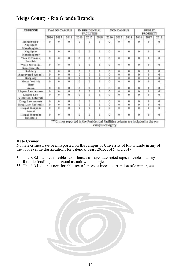# **Meigs County - Rio Grande Branch:**

| <b>OFFENSE</b>                           | <b>Total ON CAMPUS</b> |                     |                                                                                  | IN RESIDENTIAL<br><b>FACILITIES</b> |                     |                     | <b>NON CAMPUS</b> |                     |                | <b>PUBLIC</b><br><b>PROPERTY</b> |                     |                     |
|------------------------------------------|------------------------|---------------------|----------------------------------------------------------------------------------|-------------------------------------|---------------------|---------------------|-------------------|---------------------|----------------|----------------------------------|---------------------|---------------------|
|                                          | 2016                   | 2017                | 2018                                                                             | 2016                                | 2017                | 2018                | 2016              | 2017                | 2018           | 2016                             | 2017                | 2018                |
| Murder/Non-<br>Negligent<br>Manslaughter | G.                     | $\alpha$            | $\Omega$                                                                         | $\Omega$                            | $\theta$            | $\ddot{\mathbf{0}}$ | $^{\circ}$        | $\mathbf{0}$        | $\mathbf 0$    | 0                                | 0                   | $\Omega$            |
| Negligent<br>Manslaughter                | o                      | $\ddot{\mathbf{0}}$ | $\mathbf 0$                                                                      | $\alpha$                            | $\Omega$            | ō                   | $\alpha$          | $\Omega$            | $\alpha$       | o                                | $\alpha$            | $\bf{0}$            |
| *Sex Offenses.<br>Forcible               | 0                      | $\ddot{\mathbf{0}}$ | $\mathbf 0$<br>œ                                                                 | $\Omega$                            | $\theta$            | 0                   | $^{\circ}$        | $\bf{0}$<br>œ       | $\bf{0}$<br>89 | o                                | Ü.                  | $\mathbf{0}$        |
| **Sex Offenses.<br>Non-Forcible          | O.                     | $\ddot{\text{o}}$   | $\mathbf 0$                                                                      | $\Omega$                            | $\ddot{\mathbf{0}}$ | $\ddot{\mathbf{0}}$ | $\bf{0}$          | $\bf{0}$            | $\mathbf 0$    | $\Omega$                         | $\mathbf{0}$        | $^{\circ}$ 0        |
| Robbery                                  | 0                      | $\Omega$            | $\theta$                                                                         | $\Omega$                            | $\theta$            | a                   | $^{\circ}$        | $\theta$            | $\theta$       | $\alpha$                         | o                   | $\theta$            |
| <b>Aggravated Assault</b>                | 0                      | $\alpha$            | $\bf{0}$                                                                         | n                                   | $\theta$            | o                   | $\bf{0}$          | $\Omega$            | $\bf{0}$       | 0                                | $\alpha$            | $\Omega$            |
| <b>Burglary</b>                          | 0                      | $\alpha$            | $\theta$                                                                         | n.                                  | $\mathbf{0}$        | o                   | $\alpha$          | $\alpha$            | $\mathbf 0$    | $\Omega$                         | $^{\circ}$          | $\alpha$            |
| Motor Vehicle<br>Theft                   | 0                      | $\alpha$            | $\Omega$                                                                         | $\alpha$                            | $\Omega$            | ō                   | 0                 | $\Omega$            | $\alpha$       | $\alpha$                         | $\mathbf{0}$        | $\alpha$            |
| Arson                                    | fr.                    | ů                   | $\Omega$                                                                         | o                                   | $\theta$            | <b>B</b>            | $\theta$          | $\Omega$            | $\theta$       | o                                | o                   | $\Omega$            |
| Liquor Law Arrests                       | $\alpha$               | ň                   | o                                                                                | $\alpha$                            | $\Omega$            | a                   | $\alpha$          | $\Omega$            | $\alpha$       | ō                                | $\Omega$            | $\overline{0}$      |
| Liquor Law<br>Violation Referrals        | e.                     | ó                   | $^{\circ}$                                                                       | o                                   | $\theta$            | o                   | $\Omega$          | $\bf{0}$            | $\alpha$       | 0                                | $\alpha$            | $\Omega$            |
| Drug Law Arrests                         | Ŭ.                     | ō                   | $\mathbf{0}$                                                                     | o                                   | $\theta$            | $\ddot{\mathbf{0}}$ | $\theta$          | $\mathbf{0}$        | $\Omega$       | o                                | o.                  | $\bf{0}$            |
| Drug Law Referrals                       | $\overline{0}$         | ô                   | ó                                                                                | ō                                   | $\theta$            | ö                   | $\Omega$          | $\ddot{\mathbf{0}}$ | $\alpha$       | o                                | $\ddot{\mathbf{0}}$ | $\ddot{\mathbf{0}}$ |
| Illegal Weapons<br>Arrest                | $\alpha$               | $\alpha$            | $\bf{0}$                                                                         | $\bf{0}$                            | $\theta$            | û                   | $\bf{0}$          | $\bf{0}$            | $\alpha$       | $\Omega$                         | $^{\circ}$          | $\theta$            |
| Illegal Weapons<br>Referrals             | 0                      | $\bf{0}$            | $\theta$                                                                         | $\Omega$                            | $\mathbf{0}$        | $\theta$            | $^{\circ}$        | $\Omega$            | $\Omega$       | $\Omega$                         | $\Omega$            | $\mathbf{0}$        |
|                                          |                        |                     | *** Crimes reported in the Residential Facilities column are included in the on- |                                     |                     | campus category.    |                   |                     |                |                                  |                     |                     |

#### **Hate Crimes**

- The F.B.I. defines forcible sex offenses as rape, attempted rape, forcible sodomy, forcible fondling, and sexual assault with an object.
- \*\* The F.B.I. defines non-forcible sex offenses as incest, corruption of a minor, etc.

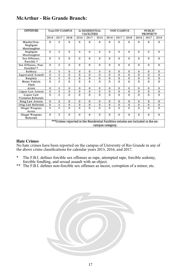# **McArthur - Rio Grande Branch:**

| <b>OFFENSE</b>                           | <b>Total ON CAMPUS</b> |          |                                                                                 |            | In RESIDENTIAL<br><b>FACILITIES</b> |                  |             | <b>NON CAMPUS</b>   |          |          | <b>PUBLIC</b><br><b>PROPERTY</b> |                |  |
|------------------------------------------|------------------------|----------|---------------------------------------------------------------------------------|------------|-------------------------------------|------------------|-------------|---------------------|----------|----------|----------------------------------|----------------|--|
|                                          | 2016                   | 2017     | 2018                                                                            | 2016       | 2017                                | 2018             | 2016        | 2017                | 2018     | 2016     | 2017                             | 2018           |  |
| Murder/Non-<br>Negligent<br>Manslaughter | $\mathbf{0}$           | ŭ        | o                                                                               | ũ          | $\mathbf{0}$                        | o                | $\bf{0}$    | ũ                   | o        | o        | o                                | $\theta$       |  |
| Negligent<br>Manslaughter                | $\Omega$               | a        | $\Omega$                                                                        | $^{\circ}$ | $\Omega$                            | o                | $\alpha$    | o                   | $\Omega$ | o        | $\Omega$                         | $\mathbf{0}$   |  |
| Sex Offenses.<br>Forcible *              | $\bf{0}$               | 0        | $^{\circ}$                                                                      | o          | $\mathbf{0}$                        | o.               | $\mathbf 0$ | $\mathbf{0}$        | o        | o        | $\Omega$                         | $\Omega$       |  |
| Sex Offenses, Non-<br>Forcible**         | $\bf{0}$               | o        | $\Omega$                                                                        | o          | $\theta$                            | o                | $\bf{0}$    | 0                   | 0        | $\bf{0}$ | $\Omega$                         | $\overline{0}$ |  |
| Robbery                                  | $^{\circ}$             | $\circ$  | $\alpha$                                                                        | ū          | $\sigma$                            | a                | $\alpha$    | ū                   | ő        | ō.       | $^{\circ}$                       | $\mathbf{0}$   |  |
| <b>Aggravated Assault</b>                | $\alpha$               | $\alpha$ | $\Omega$                                                                        | $\Omega$   | $\alpha$                            | o.               | $\alpha$    | $\Omega$            | $\Omega$ | o        | $\Omega$                         | $\Omega$       |  |
| Burglary                                 | $\alpha$               | ö        | o                                                                               | o          | $\mathbf{0}$                        | o                | $\Omega$    | ō                   | o        | ö        | $\Omega$                         | 0              |  |
| Motor Vehicle<br>Theft                   | $\theta$               | ö        | $\ddot{\mathbf{0}}$                                                             | $\Omega$   | $\theta$                            | o                | ō           | $\ddot{\mathbf{0}}$ | o        | ö        | $\Omega$                         | $\theta$       |  |
| Arson                                    | 0                      | ũ        | $\Omega$                                                                        | o          | $\theta$                            | o                | O.          | o                   | 0        | ō        | $\alpha$                         | $\mathbf{0}$   |  |
| Liquor Law Arrests                       | $\alpha$               | ō        | ũ                                                                               | o          | $\theta$                            | o                | $\Omega$    | 0                   | $\alpha$ | ö        | $^{\circ}$                       | $\Omega$       |  |
| Liquor Law<br>Violation Referrals        | $\alpha$               | $\Omega$ | $\bf{0}$                                                                        | $\alpha$   | $\alpha$                            | o                | 0           | $\Omega$            | o        | $\Omega$ | $\alpha$                         | $\theta$       |  |
| Drug Law Arrests                         | $\theta$               | o        | $\Omega$                                                                        | $\Omega$   | $\theta$                            | o                | $\Omega$    | $\Omega$            | $\Omega$ | ũ        | $\Omega$                         | $\bf{0}$       |  |
| Drug Law Referrals                       | $\overline{0}$         | ö        | Ü                                                                               | o          | $\bf{0}$                            | ū                | o           | ō                   | o        | ō        | $\Omega$                         | $\sigma$       |  |
| Illegal Weapons<br>Arrest                | $\bf{0}$               | ö        | $\Omega$                                                                        | $^{\circ}$ | $\mathbf 0$                         | o                | o           | ō                   | $\sigma$ | ö        | $\ddot{\mathbf{0}}$              | $\bf{0}$       |  |
| Illegal Weapons<br>Referrals             | 0                      | ō        | $\Omega$                                                                        | $\Omega$   | $\theta$                            | ű                | 0           | o                   | 0        | o.       | $\Omega$                         | $\mathbf{0}$   |  |
|                                          |                        |          | ***Crimes reported in the Residential Facilities column are included in the on- |            |                                     | campus category. |             |                     |          |          |                                  |                |  |

#### **Hate Crimes**

- \* The F.B.I. defines forcible sex offenses as rape, attempted rape, forcible sodomy, forcible fondling, and sexual assault with an object.
- \*\* The F.B.I. defines non-forcible sex offenses as incest, corruption of a minor, etc.

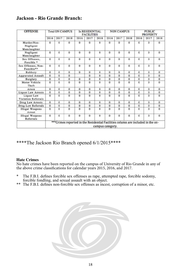# **Jackson - Rio Grande Branch:**

| <b>OFFENSE</b>                            | <b>Total ON CAMPUS</b> |                     |                                                                                  | In RESIDENTIAL<br><b>FACILITIES</b> |                     |                  | <b>NON CAMPUS</b>   |          |                     | <b>PUBLIC</b><br><b>PROPERTY</b> |          |            |
|-------------------------------------------|------------------------|---------------------|----------------------------------------------------------------------------------|-------------------------------------|---------------------|------------------|---------------------|----------|---------------------|----------------------------------|----------|------------|
|                                           | 2016                   | 2017                | 2018                                                                             | 2016                                | 2017                | 2018             | 2016                | 2017     | 2018                | 2016                             | 2017     | 2018       |
| Murder/Non-<br>Negligent<br>Manslaughter. | 0                      | 0                   | $^{\circ}$                                                                       | $\theta$                            | $^{\circ}$          | 0                | $\theta$            | o        | 0                   | $\theta$                         | ٥        | o          |
| Negligent<br>Manslaughter                 | $\bf{0}$               | $\ddot{\mathbf{0}}$ | $^{\circ}$                                                                       | $\theta$                            | $\ddot{\mathbf{0}}$ | 0                | $\Omega$            | o        | 0                   | 0                                | o        | o          |
| Sex Offenses,<br>Forcible <sup>*</sup>    | $\alpha$               | $\ddot{\mathbf{0}}$ | o                                                                                | $\mathbf{o}$                        | o                   | ō.               | $\Omega$            | o        | $\ddot{\mathbf{0}}$ | 0                                | ö        | o          |
| Sex Offenses, Non-<br>Forcible**          | $\mathbf{0}$           | $\mathbf{0}$        | $\mathbf 0$                                                                      | $\mathbf{0}$                        | $\mathbf 0$         | 0                | $\mathbf{0}$        | 0        | $\mathbf 0$         | $\mathbf{0}$                     | 0        | $\Omega$   |
| Robbery                                   | $\alpha$               | $\ddot{\mathbf{0}}$ | $\alpha$                                                                         | $\theta$                            | $\alpha$            | $\alpha$         | $\alpha$            | o        | $\alpha$            | o                                | o        | o          |
| Aggravated Assault                        | ö                      | $\ddot{\mathbf{0}}$ | $\Omega$                                                                         |                                     | $\ddot{\mathbf{0}}$ | ō.               | o                   | ò        | $\Omega$            | o                                | ō        | o          |
| Burglary                                  | 0                      | Ó                   | o                                                                                | $\theta$                            | $\alpha$            | ō                | $\alpha$            | ā        | $\Omega$            | 0                                | ö        | ٥          |
| Motor Vehicle<br>Theft                    | 0                      | $\ddot{\mathbf{0}}$ | o                                                                                | $\theta$                            | $^{\circ}$          | o.               | $\alpha$            | o        | $\bf{o}$            | $\sqrt{a}$                       | o        | o          |
| Arson                                     | $\bf{0}$               | $\ddot{\mathbf{0}}$ | $^{\circ}$                                                                       | $\Omega$                            | $^{\circ}$          | $\alpha$         | $\Omega$            | $\Omega$ | $\Omega$            | $\ddot{\mathbf{0}}$              | 0        | 0          |
| Liquor Law Arrests                        | $\mathbf{0}$           | $\ddot{\mathbf{0}}$ | $\Omega$                                                                         | $\theta$                            | $\Omega$            | o.               | $\alpha$            | ō        | $\Omega$            | $\theta$                         | $\alpha$ | û          |
| Liquor Law<br>Violation Referrals         | $\theta$               | $\ddot{\mathbf{0}}$ | o                                                                                | $\theta$                            | $\Omega$            | o.               | $\alpha$            | Ŭ        | o                   | $\theta$                         | õ        | $^{\circ}$ |
| Drug Law Arrests                          | $^{\circ}$             | $\ddot{\mathbf{0}}$ | $^{\circ}$                                                                       | $\theta$                            | $\Omega$            | $^{\circ}$       | $\Omega$            | ö        | 0                   | 0                                | o        | o          |
| Drug Law Referrals                        | 0                      | 0                   | o                                                                                | $\theta$                            | o                   | ō                | $\Omega$            | ō        | ō                   | 0                                | ö        | o          |
| Illegal Weapons<br>Arrest                 | $\bf{0}$               | $\bf{0}$            | $\alpha$                                                                         | $\theta$                            | ō                   | ö                | $\Omega$            | ō        | ō                   | o                                | ä        | $\Omega$   |
| Illegal Weapons<br>Referrals              | 0                      | $\mathbf{0}$        | $\alpha$                                                                         | $\theta$                            | $\ddot{\mathbf{0}}$ | 0                | $\ddot{\mathbf{0}}$ | ū        | 0                   | $\theta$                         | ō        | o          |
|                                           |                        |                     | *** Crimes reported in the Residential Facilities column are included in the on- |                                     |                     | campus category. |                     |          |                     |                                  |          |            |

\*\*\*\*The Jackson Rio Branch opened 6/1/2015\*\*\*\*

#### **Hate Crimes**

- The F.B.I. defines forcible sex offenses as rape, attempted rape, forcible sodomy, forcible fondling, and sexual assault with an object.
- \*\* The F.B.I. defines non-forcible sex offenses as incest, corruption of a minor, etc.

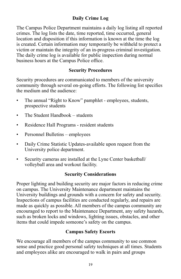# **Daily Crime Log**

The Campus Police Department maintains a daily log listing all reported crimes. The log lists the date, time reported, time occurred, general location and disposition if this information is known at the time the log is created. Certain information may temporarily be withheld to protect a victim or maintain the integrity of an in-progress criminal investigation. The daily crime log is available for public inspection during normal business hours at the Campus Police office.

## **Security Procedures**

Security procedures are communicated to members of the university community through several on-going efforts. The following list specifies the medium and the audience:

- The annual "Right to Know" pamphlet employees, students, prospective students
- The Student Handbook students
- Residence Hall Programs resident students
- Personnel Bulletins employees
- Daily Crime Statistic Updates-available upon request from the University police department.
- Security cameras are installed at the Lyne Center basketball/ volleyball area and workout facility.

## **Security Considerations**

Proper lighting and building security are major factors in reducing crime on campus. The University Maintenance department maintains the University buildings and grounds with a concern for safety and security. Inspections of campus facilities are conducted regularly, and repairs are made as quickly as possible. All members of the campus community are encouraged to report to the Maintenance Department, any safety hazards, such as broken locks and windows, lighting issues, obstacles, and other items that could impede someone's safety on the campus.

## **Campus Safety Escorts**

We encourage all members of the campus community to use common sense and practice good personal safety techniques at all times. Students and employees alike are encouraged to walk in pairs and groups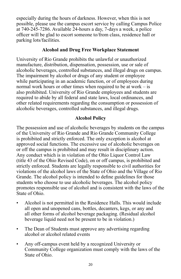especially during the hours of darkness. However, when this is not possible, please use the campus escort service by calling Campus Police at 740-245-7286. Available 24-hours a day, 7-days a week, a police officer will be glad to escort someone to/from class, residence hall or parking lots/facilities.

## **Alcohol and Drug Free Workplace Statement**

University of Rio Grande prohibits the unlawful or unauthorized manufacture, distribution, dispensation, possession, use or sale of alcoholic beverages, controlled substances, and illegal drugs on campus. The impairment by alcohol or drugs of any student or employee while participating in an academic function, or of employees during normal work hours or other times when required to be at work – is also prohibited. University of Rio Grande employees and students are required to abide by all federal and state laws, local ordinances, and other related requirements regarding the consumption or possession of alcoholic beverages, controlled substances, and illegal drugs.

# **Alcohol Policy**

The possession and use of alcoholic beverages by students on the campus of the University of Rio Grande and Rio Grande Community College is prohibited and strictly enforced. The only exception is alcohol at approved social functions. The excessive use of alcoholic beverages on or off the campus is prohibited and may result in disciplinary action. Any conduct which is in violation of the Ohio Liquor Control Law (title 43 of the Ohio Revised Code), on or off campus, is prohibited and strictly enforced. Students are legally responsible to civil authorities for violations of the alcohol laws of the State of Ohio and the Village of Rio Grande. The alcohol policy is intended to define guidelines for those students who choose to use alcoholic beverages. The alcohol policy promotes responsible use of alcohol and is consistent with the laws of the State of Ohio.

- Alcohol is not permitted in the Residence Halls. This would include all open and unopened cans, bottles, decanters, kegs, or any and all other forms of alcohol beverage packaging. (Residual alcohol beverage liquid need not be present to be in violation.)
- The Dean of Students must approve any advertising regarding alcohol or alcohol related events
- Any off-campus event held by a recognized University or Community College organization must comply with the laws of the State of Ohio.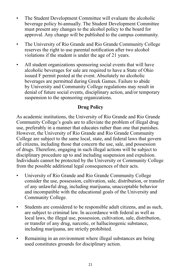- The Student Development Committee will evaluate the alcoholic beverage policy bi-annually. The Student Development Committee must present any changes to the alcohol policy to the board for approval. Any change will be published to the campus community.
- The University of Rio Grande and Rio Grande Community College reserves the right to use parental notification after two alcohol violations if the student is under the age of 21 years.
- All student organizations sponsoring social events that will have alcoholic beverages for sale are required to have a State of Ohio issued F permit posted at the event. Absolutely no alcoholic beverages are permitted during Greek Games. Failure to abide by University and Community College regulations may result in denial of future social events, disciplinary action, and/or temporary suspension to the sponsoring organizations.

# **Drug Policy**

As academic institutions, the University of Rio Grande and Rio Grande Community College's goals are to alleviate the problem of illegal drug use, preferably in a manner that educates rather than one that punishes. However, the University of Rio Grande and Rio Grande Community College are subject to the same local, state, and federal laws that govern all citizens, including those that concern the use, sale, and possession of drugs. Therefore, engaging in such illegal actions will be subject to disciplinary procedure up to and including suspension and expulsion. Individuals cannot be protected by the University or Community College from the possible additional legal consequences of their acts.

- University of Rio Grande and Rio Grande Community College consider the use, possession, cultivation, sale, distribution, or transfer of any unlawful drug, including marijuana, unacceptable behavior and incompatible with the educational goals of the University and Community College.
- Students are considered to be responsible adult citizens, and as such, are subject to criminal law. In accordance with federal as well as local laws, the illegal use, possession, cultivation, sale, distribution, or transfer of any drug, narcotic, or hallucinogenic substance, including marijuana, are strictly prohibited.
- Remaining in an environment where illegal substances are being used constitutes grounds for disciplinary action.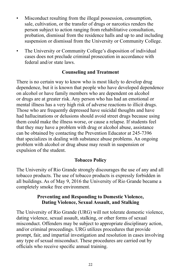- Misconduct resulting from the illegal possession, consumption, sale, cultivation, or the transfer of drugs or narcotics renders the person subject to action ranging from rehabilitative consultation, probation, dismissal from the residence halls and up to and including suspension or dismissal from the University or Community College.
- The University or Community College's disposition of individual cases does not preclude criminal prosecution in accordance with federal and/or state laws.

## **Counseling and Treatment**

There is no certain way to know who is most likely to develop drug dependence, but it is known that people who have developed dependence on alcohol or have family members who are dependent on alcohol or drugs are at greater risk. Any person who has had an emotional or mental illness has a very high risk of adverse reactions to illicit drugs. Those who are frequently depressed have suicidal thoughts and have had hallucinations or delusions should avoid street drugs because using them could make the illness worse, or cause a relapse. If students feel that they may have a problem with drug or alcohol abuse, assistance can be obtained by contacting the Prevention Educator at 245-7396 that specializes in dealing with substance abuse problems. An ongoing problem with alcohol or drug abuse may result in suspension or expulsion of the student.

## **Tobacco Policy**

The University of Rio Grande strongly discourages the use of any and all tobacco products. The use of tobacco products is expressly forbidden in all buildings. As of May 9, 2016 the University of Rio Grande became a completely smoke free environment.

## **Preventing and Responding to Domestic Violence, Dating Violence, Sexual Assault, and Stalking**

The University of Rio Grande (URG) will not tolerate domestic violence, dating violence, sexual assault, stalking, or other forms of sexual misconduct. Offenders may be subject to appropriate disciplinary action, and/or criminal proceedings. URG utilizes procedures that provide prompt, fair, and impartial investigation and resolution in cases involving any type of sexual misconduct. These procedures are carried out by officials who receive specific annual training.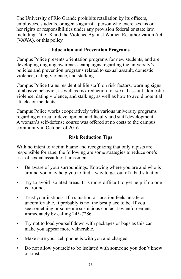The University of Rio Grande prohibits retaliation by its officers, employees, students, or agents against a person who exercises his or her rights or responsibilities under any provision federal or state law, including Title IX and the Violence Against Women Reauthorization Act (VAWA), or this policy.

# **Education and Prevention Programs**

Campus Police presents orientation programs for new students, and are developing ongoing awareness campaigns regarding the university's policies and prevention programs related to sexual assault, domestic violence, dating violence, and stalking.

Campus Police trains residential life staff, on risk factors, warning signs of abusive behavior, as well as risk reduction for sexual assault, domestic violence, dating violence, and stalking, as well as how to avoid potential attacks or incidents;

Campus Police works cooperatively with various university programs regarding curricular development and faculty and staff development. A woman's self-defense course was offered at no costs to the campus community in October of 2016.

# **Risk Reduction Tips**

With no intent to victim blame and recognizing that only rapists are responsible for rape, the following are some strategies to reduce one's risk of sexual assault or harassment.

- Be aware of your surroundings. Knowing where you are and who is around you may help you to find a way to get out of a bad situation.
- Try to avoid isolated areas. It is more difficult to get help if no one is around.
- Trust your instincts. If a situation or location feels unsafe or uncomfortable, it probably is not the best place to be. If you see something or someone suspicious contact law enforcement immediately by calling 245-7286.
- Try not to load yourself down with packages or bags as this can make you appear more vulnerable.
- Make sure your cell phone is with you and charged.
- Do not allow yourself to be isolated with someone you don't know or trust.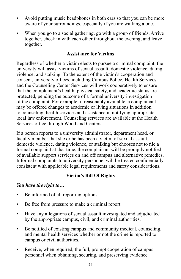- Avoid putting music headphones in both ears so that you can be more aware of your surroundings, especially if you are walking alone.
- When you go to a social gathering, go with a group of friends. Arrive together, check in with each other throughout the evening, and leave together.

## **Assistance for Victims**

Regardless of whether a victim elects to pursue a criminal complaint, the university will assist victims of sexual assault, domestic violence, dating violence, and stalking. To the extent of the victim's cooperation and consent, university offices, including Campus Police, Health Services, and the Counseling Center Services will work cooperatively to ensure that the complainant's health, physical safety, and academic status are protected, pending the outcome of a formal university investigation of the complaint. For example, if reasonably available, a complainant may be offered changes to academic or living situations in addition to counseling, health services and assistance in notifying appropriate local law enforcement. Counseling services are available at the Health Services office through Woodland Centers.

If a person reports to a university administrator, department head, or faculty member that she or he has been a victim of sexual assault, domestic violence, dating violence, or stalking but chooses not to file a formal complaint at that time, the complainant will be promptly notified of available support services on and off campus and alternative remedies. Informal complaints to university personnel will be treated confidentially consistent with applicable legal requirements and safety considerations.

## **Victim's Bill Of Rights**

## *You have the right to…*

- Be informed of all reporting options.
- Be free from pressure to make a criminal report
- Have any allegations of sexual assault investigated and adjudicated by the appropriate campus, civil, and criminal authorities.
- Be notified of existing campus and community medical, counseling, and mental health services whether or not the crime is reported to campus or civil authorities.
- Receive, when required, the full, prompt cooperation of campus personnel when obtaining, securing, and preserving evidence.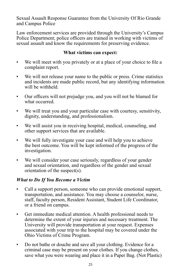Sexual Assault Response Guarantee from the University Of Rio Grande and Campus Police

Law enforcement services are provided through the University's Campus Police Department; police officers are trained in working with victims of sexual assault and know the requirements for preserving evidence.

## **What victims can expect:**

- We will meet with you privately or at a place of your choice to file a complaint report.
- We will not release your name to the public or press. Crime statistics and incidents are made public record, but any identifying information will be withheld.
- Our officers will not prejudge you, and you will not be blamed for what occurred.
- We will treat you and your particular case with courtesy, sensitivity, dignity, understanding, and professionalism.
- We will assist you in receiving hospital, medical, counseling, and other support services that are available.
- We will fully investigate your case and will help you to achieve the best outcome. You will be kept informed of the progress of the investigation.
- We will consider your case seriously, regardless of your gender and sexual orientation, and regardless of the gender and sexual orientation of the suspect(s).

# *What to Do If You Become a Victim*

- Call a support person, someone who can provide emotional support, transportation, and assistance. You may choose a counselor, nurse, staff, faculty person, Resident Assistant, Student Life Coordinator, or a friend on campus.
- Get immediate medical attention. A health professional needs to determine the extent of your injuries and necessary treatment. The University will provide transportation at your request. Expenses associated with your trip to the hospital may be covered under the Ohio Victims of Crime Program.
- Do not bathe or douche and save all your clothing. Evidence for a criminal case may be present on your clothes. If you change clothes, save what you were wearing and place it in a Paper Bag. (Not Plastic)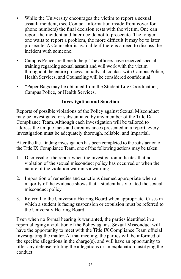- While the University encourages the victim to report a sexual assault incident, (see Contact Information inside front cover for phone numbers) the final decision rests with the victim. One can report the incident and later decide not to prosecute. The longer one waits to report a problem, the more difficult it may be to later prosecute. A Counselor is available if there is a need to discuss the incident with someone.
- Campus Police are there to help. The officers have received special training regarding sexual assault and will work with the victim throughout the entire process. Initially, all contact with Campus Police, Health Services, and Counseling will be considered confidential.
- \*Paper Bags may be obtained from the Student Life Coordinators, Campus Police, or Health Services.

# **Investigation and Sanction**

Reports of possible violations of the Policy against Sexual Misconduct may be investigated or substantiated by any member of the Title IX Compliance Team. Although each investigation will be tailored to address the unique facts and circumstances presented in a report, every investigation must be adequately thorough, reliable, and impartial.

After the fact-finding investigation has been completed to the satisfaction of the Title IX Compliance Team, one of the following actions may be taken:

- 1. Dismissal of the report when the investigation indicates that no violation of the sexual misconduct policy has occurred or when the nature of the violation warrants a warning.
- 2. Imposition of remedies and sanctions deemed appropriate when a majority of the evidence shows that a student has violated the sexual misconduct policy.
- 3. Referral to the University Hearing Board when appropriate. Cases in which a student is facing suspension or expulsion must be referred to the University Hearing Board.

Even when no formal hearing is warranted, the parties identified in a report alleging a violation of the Policy against Sexual Misconduct will have the opportunity to meet with the Title IX Compliance Team official investigating the matter. At that meeting, the parties will be informed of the specific allegations in the charge(s), and will have an opportunity to offer any defense refuting the allegations or an explanation justifying the conduct.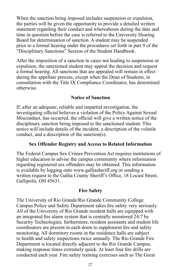When the sanction being imposed includes suspension or expulsion, the parties will be given the opportunity to provide a detailed written statement regarding their conduct and whereabouts during the date and time in question before the case is referred to the University Hearing Board for determination of sanction. A student may be suspended prior to a formal hearing under the procedures set forth in part 9 of the "Disciplinary Sanctions" Section of the Student Handbook.

After the imposition of a sanction in cases not leading to suspension or expulsion, the sanctioned student may appeal the decision and request a formal hearing. All sanctions that are appealed will remain in effect during the appellate process, except when the Dean of Students, in consultation with the Title IX Compliance Coordinator, has determined otherwise.

## **Notice of Sanction**

If, after an adequate, reliable and impartial investigation, the investigating official believes a violation of the Policy Against Sexual Misconduct, has occurred, the official will give a written notice of the disciplinary sanction being imposed to the sanctioned student. This notice will include details of the incident, a description of the volatile conduct, and a description of the sanction(s).

## **Sex Offender Registry and Access to Related Information**

The Federal Campus Sex Crimes Prevention Act requires institutions of higher education to advise the campus community where information regarding registered sex offenders may be obtained. This information is available by logging onto www.galliasheriff.org or sending a written request to the Gallia County Sheriff's Office, 18 Locust Street, Gallipolis, OH 45631.

## **Fire Safety**

The University of Rio Grande/Rio Grande Community College Campus Police and Safety Department takes fire safety very seriously. All of the University of Rio Grande resident halls are equipped with an integrated fire alarm system that is centrally monitored 24/7 by Security Technologies; furthermore, resident assistants and student life coordinators are present in each dorm to supplement fire and safety monitoring. All dormitory rooms in the residence halls are subject to health and safety inspections twice annually. The Rio Grande Fire Department is located directly adjacent to the Rio Grande Campus, making response times extremely quick. At least four fire drills are conducted each year. Fire safety training exercises such as The Great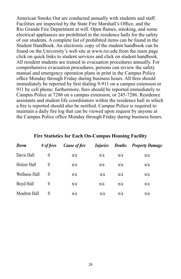American Smoke Out are conducted annually with students and staff. Facilities are inspected by the State Fire Marshall's Office, and the Rio Grande Fire Department at will. Open flames, smoking, and some electrical appliances are prohibited in the residence halls for the safety of our students. A complete list of prohibited items can be found in the Student Handbook. An electronic copy of the student handbook can be found on the University's web site at www.rio.edu from the main page click on quick links to student services and click on student handbook. All resident students are trained in evacuation procedures annually. For comprehensive evacuation procedures, persons can review the safety manual and emergency operation plans in print in the Campus Police office Monday through Friday during business hours. All fires should immediately be reported by first dialing 9-911 on a campus extension or 911 by cell phone; furthermore, fires should be reported immediately to Campus Police at 7286 on a campus extension, or 245-7286. Residence assistants and student life coordinators within the residence hall in which a fire is reported should also be notified. Campus Police is required to maintain a daily fire log that can be viewed upon request by anyone at the Campus Police office Monday through Friday during business hours.

| Dorm          | $#$ of fires | <b>Cause of fire</b> | <i>Injuries</i> | <b>Deaths</b> | <b>Property Damage</b> |
|---------------|--------------|----------------------|-----------------|---------------|------------------------|
| Davis Hall    | $\theta$     | n/a                  | n/a             | n/a           | n/a                    |
| Holzer Hall   | $\theta$     | n/a                  | n/a             | n/a           | n/a                    |
| Wellness Hall | $\theta$     | n/a                  | n/a             | n/a           | n/a                    |
| Boyd Hall     | $\theta$     | n/a                  | n/a             | n/a           | n/a                    |
| Moulton Hall  | $\theta$     | n/a                  | n/a             | n/a           | n/a                    |

#### **Fire Statistics for Each On-Campus Housing Facility**